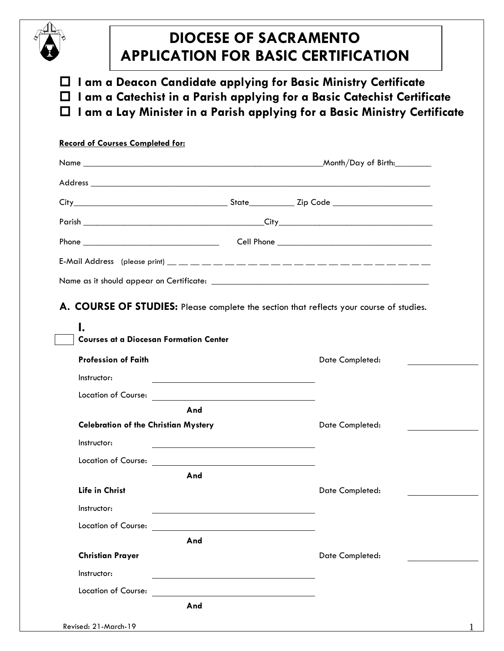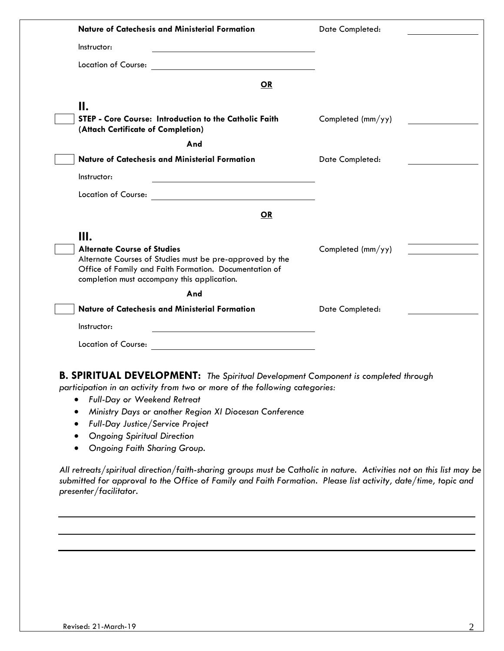|                                                                                                                                                                                                                                                                                                                                                                                  | Date Completed:           |
|----------------------------------------------------------------------------------------------------------------------------------------------------------------------------------------------------------------------------------------------------------------------------------------------------------------------------------------------------------------------------------|---------------------------|
| Instructor:                                                                                                                                                                                                                                                                                                                                                                      |                           |
| Location of Course:<br><u> 1980 - Johann Barbara, martxa alemaniar a</u>                                                                                                                                                                                                                                                                                                         |                           |
| OR                                                                                                                                                                                                                                                                                                                                                                               |                           |
| П.                                                                                                                                                                                                                                                                                                                                                                               |                           |
| STEP - Core Course: Introduction to the Catholic Faith<br>(Attach Certificate of Completion)                                                                                                                                                                                                                                                                                     | Completed $\frac{mm}{yy}$ |
| And<br><b>Nature of Catechesis and Ministerial Formation</b>                                                                                                                                                                                                                                                                                                                     | Date Completed:           |
| Instructor:                                                                                                                                                                                                                                                                                                                                                                      |                           |
| Location of Course:                                                                                                                                                                                                                                                                                                                                                              |                           |
| <b>OR</b>                                                                                                                                                                                                                                                                                                                                                                        |                           |
|                                                                                                                                                                                                                                                                                                                                                                                  |                           |
| Ш.                                                                                                                                                                                                                                                                                                                                                                               |                           |
| <b>Alternate Course of Studies</b><br>Alternate Courses of Studies must be pre-approved by the<br>Office of Family and Faith Formation. Documentation of<br>completion must accompany this application.                                                                                                                                                                          | Completed $\frac{mm}{yy}$ |
| And                                                                                                                                                                                                                                                                                                                                                                              |                           |
| <b>Nature of Catechesis and Ministerial Formation</b>                                                                                                                                                                                                                                                                                                                            | Date Completed:           |
| Instructor:                                                                                                                                                                                                                                                                                                                                                                      |                           |
| Location of Course:<br><u> 1989 - Johann Barbara, martin amerikan basar dan basa dan basa dan basa dalam basa dan basa dan basa dalam ba</u>                                                                                                                                                                                                                                     |                           |
| B. SPIRITUAL DEVELOPMENT: The Spiritual Development Component is completed through<br>participation in an activity from two or more of the following categories:<br>Full-Day or Weekend Retreat<br>Ministry Days or another Region XI Diocesan Conference<br>Full-Day Justice/Service Project<br>$\bullet$<br><b>Ongoing Spiritual Direction</b><br>Ongoing Faith Sharing Group. |                           |
|                                                                                                                                                                                                                                                                                                                                                                                  |                           |
| All retreats/spiritual direction/faith-sharing groups must be Catholic in nature. Activities not on this list may be<br>submitted for approval to the Office of Family and Faith Formation. Please list activity, date/time, topic and<br>presenter/facilitator.                                                                                                                 |                           |
|                                                                                                                                                                                                                                                                                                                                                                                  |                           |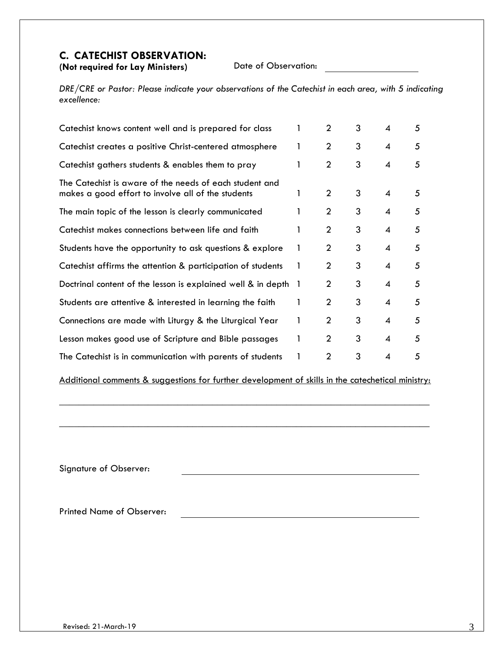## **C. CATECHIST OBSERVATION:**

**(Not required for Lay Ministers)**

Date of Observation:

*DRE/CRE or Pastor: Please indicate your observations of the Catechist in each area, with 5 indicating excellence:*

| Catechist knows content well and is prepared for class                                                        |   | $\overline{2}$ | 3 | 4                        | 5 |
|---------------------------------------------------------------------------------------------------------------|---|----------------|---|--------------------------|---|
| Catechist creates a positive Christ-centered atmosphere                                                       |   | $\overline{2}$ | 3 | 4                        | 5 |
| Catechist gathers students & enables them to pray                                                             |   | $\overline{2}$ | 3 | 4                        | 5 |
| The Catechist is aware of the needs of each student and<br>makes a good effort to involve all of the students | 1 | $\overline{2}$ | 3 | $\overline{4}$           | 5 |
| The main topic of the lesson is clearly communicated                                                          |   | $\overline{2}$ | 3 | $\overline{4}$           | 5 |
| Catechist makes connections between life and faith                                                            |   | $\overline{2}$ | 3 | 4                        | 5 |
| Students have the opportunity to ask questions & explore                                                      |   | $\overline{2}$ | 3 | $\overline{4}$           | 5 |
| Catechist affirms the attention & participation of students                                                   |   | 2              | 3 | 4                        | 5 |
| Doctrinal content of the lesson is explained well & in depth 1                                                |   | $\overline{2}$ | 3 | 4                        | 5 |
| Students are attentive & interested in learning the faith                                                     |   | $\overline{2}$ | 3 | $\overline{\mathcal{A}}$ | 5 |
| Connections are made with Liturgy & the Liturgical Year                                                       | 1 | $\overline{2}$ | 3 | $\overline{\mathcal{A}}$ | 5 |
| Lesson makes good use of Scripture and Bible passages                                                         |   | $\overline{2}$ | 3 | $\overline{4}$           | 5 |
| The Catechist is in communication with parents of students                                                    |   | $\overline{2}$ | 3 | 4                        | 5 |

Additional comments & suggestions for further development of skills in the catechetical ministry:

 $\_$  , and the set of the set of the set of the set of the set of the set of the set of the set of the set of the set of the set of the set of the set of the set of the set of the set of the set of the set of the set of th

 $\_$  , and the set of the set of the set of the set of the set of the set of the set of the set of the set of the set of the set of the set of the set of the set of the set of the set of the set of the set of the set of th

Signature of Observer:

Printed Name of Observer: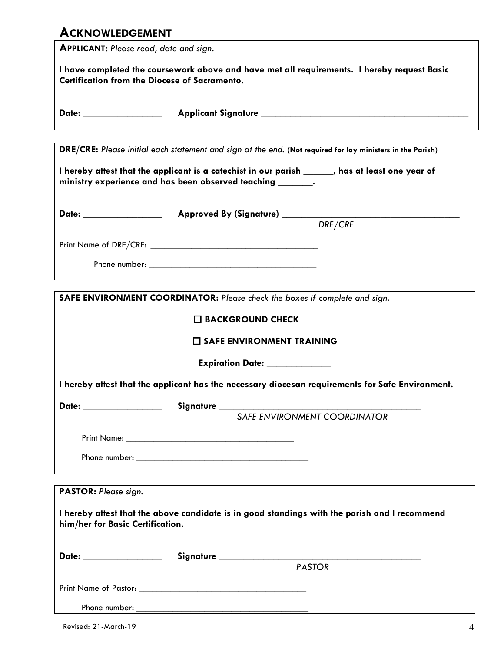| <b>ACKNOWLEDGEMENT</b>                        |                                                                                                                                                                 |
|-----------------------------------------------|-----------------------------------------------------------------------------------------------------------------------------------------------------------------|
| <b>APPLICANT:</b> Please read, date and sign. |                                                                                                                                                                 |
|                                               | I have completed the coursework above and have met all requirements. I hereby request Basic<br><b>Certification from the Diocese of Sacramento.</b>             |
|                                               |                                                                                                                                                                 |
|                                               | DRE/CRE: Please initial each statement and sign at the end. (Not required for lay ministers in the Parish)                                                      |
|                                               | I hereby attest that the applicant is a catechist in our parish ______, has at least one year of<br>ministry experience and has been observed teaching _______. |
|                                               |                                                                                                                                                                 |
|                                               |                                                                                                                                                                 |
|                                               |                                                                                                                                                                 |
|                                               |                                                                                                                                                                 |
|                                               | SAFE ENVIRONMENT COORDINATOR: Please check the boxes if complete and sign.                                                                                      |
|                                               | $\Box$ BACKGROUND CHECK                                                                                                                                         |
|                                               |                                                                                                                                                                 |
|                                               | $\square$ SAFE ENVIRONMENT TRAINING                                                                                                                             |
|                                               | Expiration Date: _____________                                                                                                                                  |
|                                               | I hereby attest that the applicant has the necessary diocesan requirements for Safe Environment.                                                                |
|                                               |                                                                                                                                                                 |
|                                               | SAFE ENVIRONMENT COORDINATOR                                                                                                                                    |
|                                               |                                                                                                                                                                 |
|                                               |                                                                                                                                                                 |
|                                               |                                                                                                                                                                 |
| PASTOR: Please sign.                          |                                                                                                                                                                 |
| him/her for Basic Certification.              | I hereby attest that the above candidate is in good standings with the parish and I recommend                                                                   |
|                                               |                                                                                                                                                                 |
|                                               |                                                                                                                                                                 |
|                                               | <b>PASTOR</b>                                                                                                                                                   |
|                                               |                                                                                                                                                                 |